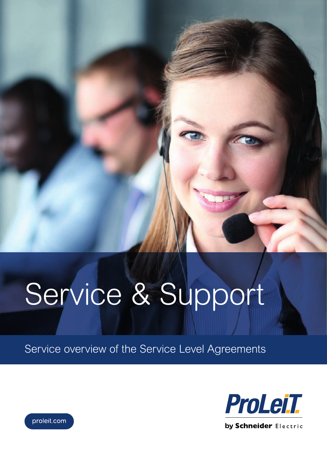# Service & Support

Service overview of the Service Level Agreements



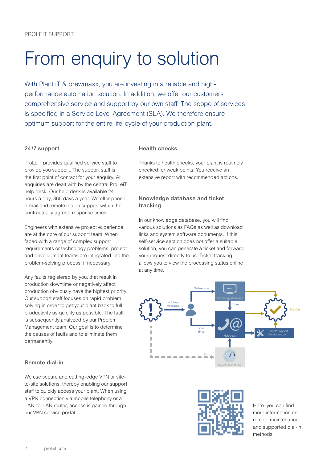## From enquiry to solution

With Plant iT & brewmaxx, you are investing in a reliable and highperformance automation solution. In addition, we offer our customers comprehensive service and support by our own staff. The scope of services is specified in a Service Level Agreement (SLA). We therefore ensure optimum support for the entire life-cycle of your production plant.

#### **24/7 support**

ProLeiT provides qualified service staff to provide you support. The support staff is the first point of contact for your enquiry. All enquiries are dealt with by the central ProLeiT help desk. Our help desk is available 24 hours a day, 365 days a year. We offer phone, e-mail and remote dial-in support within the contractually agreed response times.

Engineers with extensive project experience are at the core of our support team. When faced with a range of complex support requirements or technology problems, project and development teams are integrated into the problem-solving process, if necessary.

Any faults registered by you, that result in production downtime or negatively affect production obviously have the highest priority. Our support staff focuses on rapid problem solving in order to get your plant back to full productivity as quickly as possible. The fault is subsequently analyzed by our Problem Management team. Our goal is to determine the causes of faults and to eliminate them permanently.

### **Remote dial-in**

We use secure and cutting-edge VPN or siteto-site solutions, thereby enabling our support staff to quickly access your plant. When using a VPN connection via mobile telephony or a LAN-to-LAN router, access is gained through our VPN service portal.

#### **Health checks**

Thanks to health checks, your plant is routinely checked for weak points. You receive an extensive report with recommended actions.

### **Knowledge database and ticket tracking**

In our knowledge database, you will find various solutions as FAQs as well as download links and system software documents. If this self-service section does not offer a suitable solution, you can generate a ticket and forward your request directly to us. Ticket tracking allows you to view the processing status online at any time.





Here you can find more information on remote maintenance and supported dial-in methods.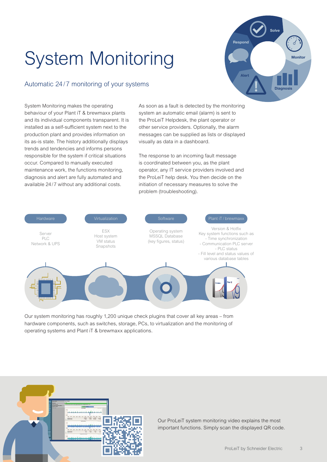# System Monitoring

### Automatic 24/7 monitoring of your systems

**Monitor Diagnosis** Alert Respond Solve

System Monitoring makes the operating behaviour of your Plant iT & brewmaxx plants and its individual components transparent. It is installed as a self-sufficient system next to the production plant and provides information on its as-is state. The history additionally displays trends and tendencies and informs persons responsible for the system if critical situations occur. Compared to manually executed maintenance work, the functions monitoring, diagnosis and alert are fully automated and available 24/7 without any additional costs.

As soon as a fault is detected by the monitoring system an automatic email (alarm) is sent to the ProLeiT Helpdesk, the plant operator or other service providers. Optionally, the alarm messages can be supplied as lists or displayed visually as data in a dashboard.

The response to an incoming fault message is coordinated between you, as the plant operator, any IT service providers involved and the ProLeiT help desk. You then decide on the initiation of necessary measures to solve the problem (troubleshooting).



Our system monitoring has roughly 1,200 unique check plugins that cover all key areas – from hardware components, such as switches, storage, PCs, to virtualization and the monitoring of operating systems and Plant iT & brewmaxx applications.



Our ProLeiT system monitoring video explains the most important functions. Simply scan the displayed QR code.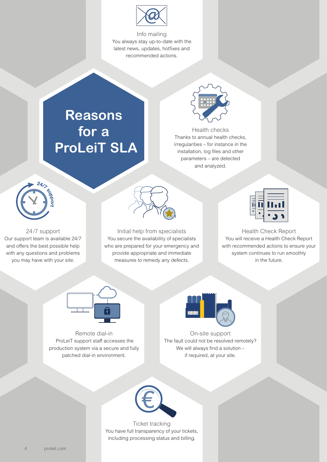

Info mailing You always stay up-to-date with the latest news, updates, hotfixes and recommended actions.

### **Reasons for a ProLeiT SLA**



Health checks Thanks to annual health checks, irregularities – for instance in the installation, log files and other parameters – are detected and analyzed.



24/7 support Our support team is available 24/7 and offers the best possible help with any questions and problems you may have with your site.



Initial help from specialists You secure the availability of specialists who are prepared for your emergency and provide appropriate and immediate measures to remedy any defects.



Health Check Report You will receive a Health Check Report with recommended actions to ensure your system continues to run smoothly in the future.



Remote dial-in ProLeiT support staff accesses the production system via a secure and fully patched dial-in environment.



On-site support The fault could not be resolved remotely? We will always find a solution if required, at your site.



Ticket tracking You have full transparency of your tickets, including processing status and billing.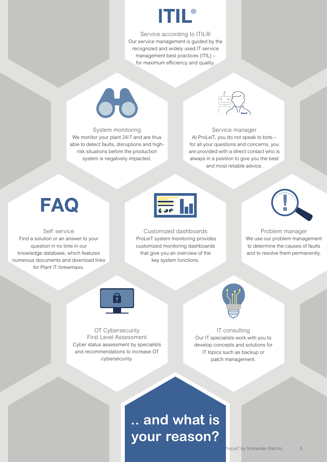

Service according to ITIL® Our service management is guided by the recognized and widely used IT service management best practices (ITIL) – for maximum efficiency and quality.



### System monitoring We monitor your plant 24/7 and are thus able to detect faults, disruptions and highrisk situations before the production system is negatively impacted.



### Service manager At ProLeiT, you do not speak to bots – for all your questions and concerns, you

are provided with a direct contact who is always in a position to give you the best and most reliable advice.

### **FAQ**

Self service Find a solution or an answer to your question in no time in our knowledge database, which features numerous documents and download links for Plant iT/ brewmaxx.



Customized dashboards ProLeiT system monitoring provides customized monitoring dashboards that give you an overview of the key system functions.



Problem manager We use our problem management to determine the causes of faults and to resolve them permanently.



OT Cybersecurity First Level Assessment Cyber status assessment by specialists and recommendations to increase OT cybersecurity.



IT consulting Our IT specialists work with you to develop concepts and solutions for IT topics such as backup or patch management.

### **.. and what is your reason?**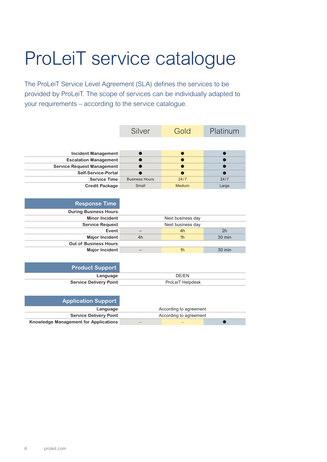# ProLeiT service catalogue

The ProLeiT Service Level Agreement (SLA) defines the services to be provided by ProLeiT. The scope of services can be individually adapted to your requirements – according to the service catalogue.

|                                              | Silver                 | Gold           | Platinum |  |
|----------------------------------------------|------------------------|----------------|----------|--|
|                                              |                        |                |          |  |
| <b>Incident Management</b>                   |                        | O              |          |  |
| <b>Escalation Management</b>                 |                        | $\bullet$      |          |  |
| <b>Service Request Management</b>            |                        |                |          |  |
| Self-Service-Portal                          |                        |                |          |  |
| <b>Service Time</b>                          | <b>Business Hours</b>  | 24/7           | 24/7     |  |
| <b>Credit Package</b>                        | Small                  | Medium         | Large    |  |
|                                              |                        |                |          |  |
|                                              |                        |                |          |  |
| <b>Response Time</b>                         |                        |                |          |  |
| <b>During Business Hours</b>                 |                        |                |          |  |
| <b>Minor Incident</b>                        | Next business day      |                |          |  |
| <b>Service Request</b>                       | Next business day      |                |          |  |
| Event                                        | —                      | 4h             | 2h       |  |
| <b>Major Incident</b>                        | 4h                     | 1 <sub>h</sub> | $30$ min |  |
| <b>Out of Business Hours</b>                 |                        |                |          |  |
| <b>Major Incident</b>                        |                        | 1 <sub>h</sub> | 30 min   |  |
|                                              |                        |                |          |  |
| <b>Product Support</b>                       |                        |                |          |  |
| Language                                     | DE/EN                  |                |          |  |
| <b>Service Delivery Point</b>                | ProLeiT Helpdesk       |                |          |  |
|                                              |                        |                |          |  |
|                                              |                        |                |          |  |
| <b>Application Support</b>                   |                        |                |          |  |
| Language                                     | According to agreement |                |          |  |
| <b>Service Delivery Point</b>                | According to agreement |                |          |  |
| <b>Knowledge Management for Applications</b> |                        |                |          |  |
|                                              |                        |                |          |  |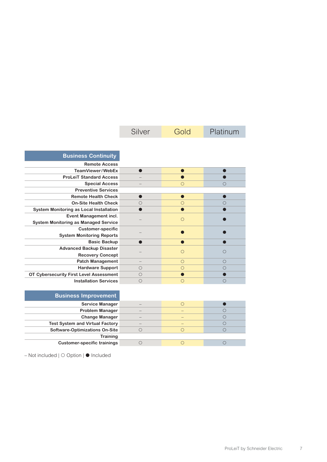|                                             | Silver     | Gold       | Platinum   |
|---------------------------------------------|------------|------------|------------|
|                                             |            |            |            |
| <b>Business Continuity</b>                  |            |            |            |
| <b>Remote Access</b>                        |            |            |            |
| TeamViewer/WebEx                            |            |            |            |
| <b>ProLeiT Standard Access</b>              |            |            |            |
| <b>Special Access</b>                       |            | $\bigcirc$ | ( )        |
| <b>Preventive Services</b>                  |            |            |            |
| <b>Remote Health Check</b>                  |            |            |            |
| <b>On-Site Health Check</b>                 | ∩          | $\bigcirc$ |            |
| System Monitoring as Local Installation     |            |            |            |
| Event Management incl.                      |            | ∩          |            |
| <b>System Monitoring as Managed Service</b> |            |            |            |
| <b>Customer-specific</b>                    |            |            |            |
| <b>System Monitoring Reports</b>            |            |            |            |
| <b>Basic Backup</b>                         |            |            |            |
| <b>Advanced Backup Disaster</b>             |            | $\bigcirc$ | $\bigcap$  |
| <b>Recovery Concept</b>                     |            |            |            |
| <b>Patch Management</b>                     |            | $\bigcirc$ | ∩          |
| <b>Hardware Support</b>                     | $\bigcirc$ | $\bigcirc$ | ( )        |
| OT Cybersecurity First Level Assessment     | ◯          |            |            |
| <b>Installation Services</b>                | $\bigcirc$ | $\bigcirc$ | $\bigcirc$ |

| <b>Business Improvement</b>            |  |  |
|----------------------------------------|--|--|
| <b>Service Manager</b>                 |  |  |
| <b>Problem Manager</b>                 |  |  |
| <b>Change Manager</b>                  |  |  |
| <b>Test System and Virtual Factory</b> |  |  |
| <b>Software-Optimizations On-Site</b>  |  |  |
| <b>Training</b>                        |  |  |
| <b>Customer-specific trainings</b>     |  |  |

– Not included | ○ Option | ● Included